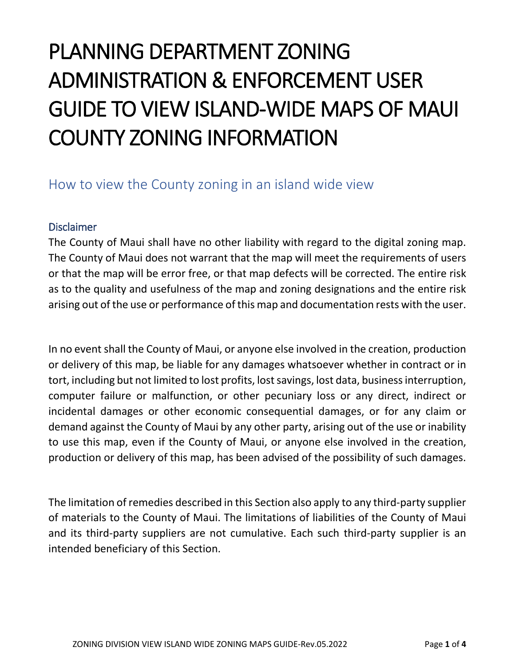## PLANNING DEPARTMENT ZONING ADMINISTRATION & ENFORCEMENT USER GUIDE TO VIEW ISLAND-WIDE MAPS OF MAUI COUNTY ZONING INFORMATION

## How to view the County zoning in an island wide view

## Disclaimer

The County of Maui shall have no other liability with regard to the digital zoning map. The County of Maui does not warrant that the map will meet the requirements of users or that the map will be error free, or that map defects will be corrected. The entire risk as to the quality and usefulness of the map and zoning designations and the entire risk arising out of the use or performance of this map and documentation rests with the user.

In no event shall the County of Maui, or anyone else involved in the creation, production or delivery of this map, be liable for any damages whatsoever whether in contract or in tort, including but not limited to lost profits, lost savings, lost data, business interruption, computer failure or malfunction, or other pecuniary loss or any direct, indirect or incidental damages or other economic consequential damages, or for any claim or demand against the County of Maui by any other party, arising out of the use or inability to use this map, even if the County of Maui, or anyone else involved in the creation, production or delivery of this map, has been advised of the possibility of such damages.

The limitation of remedies described in this Section also apply to any third-party supplier of materials to the County of Maui. The limitations of liabilities of the County of Maui and its third-party suppliers are not cumulative. Each such third-party supplier is an intended beneficiary of this Section.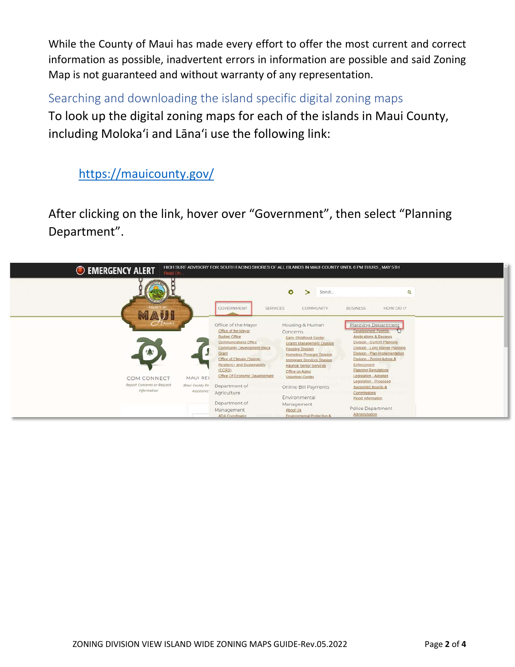While the County of Maui has made every effort to offer the most current and correct information as possible, inadvertent errors in information are possible and said Zoning Map is not guaranteed and without warranty of any representation.

Searching and downloading the island specific digital zoning maps To look up the digital zoning maps for each of the islands in Maui County, including Moloka'i and Lāna'i use the following link:

## <https://mauicounty.gov/>

After clicking on the link, hover over "Government", then select "Planning Department".

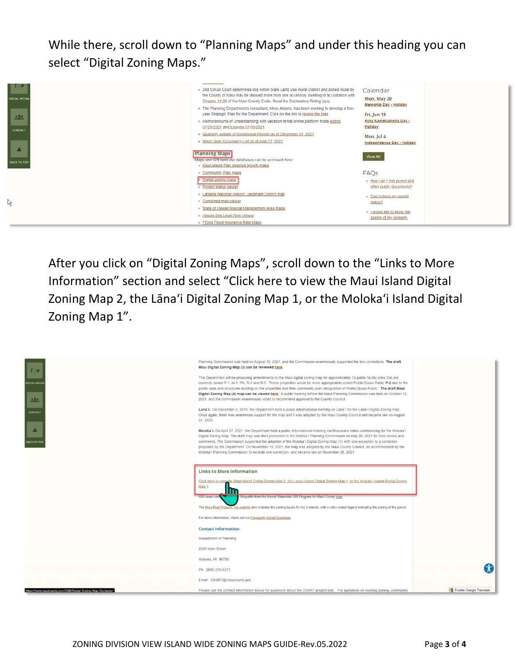While there, scroll down to "Planning Maps" and under this heading you can select "Digital Zoning Maps."



After you click on "Digital Zoning Maps", scroll down to the "Links to More Information" section and select "Click here to view the Maui Island Digital Zoning Map 2, the Lāna'i Digital Zoning Map 1, or the Moloka'i Island Digital Zoning Map 1".